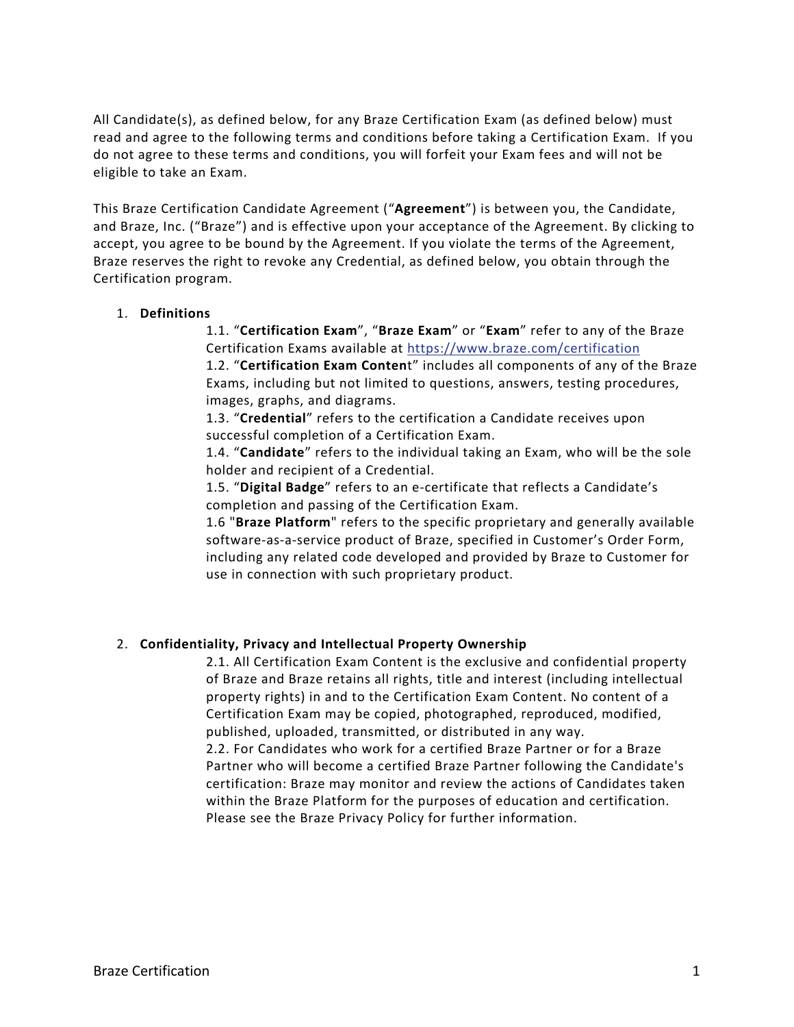All Candidate(s), as defined below, for any Braze Certification Exam (as defined below) must read and agree to the following terms and conditions before taking a Certification Exam. If you do not agree to these terms and conditions, you will forfeit your Exam fees and will not be eligible to take an Exam.

This Braze Certification Candidate Agreement ("**Agreement**") is between you, the Candidate, and Braze, Inc. ("Braze") and is effective upon your acceptance of the Agreement. By clicking to accept, you agree to be bound by the Agreement. If you violate the terms of the Agreement, Braze reserves the right to revoke any Credential, as defined below, you obtain through the Certification program.

## 1. **Definitions**

1.1. "**Certification Exam**", "**Braze Exam**" or "**Exam**" refer to any of the Braze Certification Exams available at https://www.braze.com/certification

1.2. "**Certification Exam Conten**t" includes all components of any of the Braze Exams, including but not limited to questions, answers, testing procedures, images, graphs, and diagrams.

1.3. "**Credential**" refers to the certification a Candidate receives upon successful completion of a Certification Exam.

1.4. "**Candidate**" refers to the individual taking an Exam, who will be the sole holder and recipient of a Credential.

1.5. "**Digital Badge**" refers to an e-certificate that reflects a Candidate's completion and passing of the Certification Exam.

1.6 "**Braze Platform**" refers to the specific proprietary and generally available software-as-a-service product of Braze, specified in Customer's Order Form, including any related code developed and provided by Braze to Customer for use in connection with such proprietary product.

## 2. **Confidentiality, Privacy and Intellectual Property Ownership**

2.1. All Certification Exam Content is the exclusive and confidential property of Braze and Braze retains all rights, title and interest (including intellectual property rights) in and to the Certification Exam Content. No content of a Certification Exam may be copied, photographed, reproduced, modified, published, uploaded, transmitted, or distributed in any way.

2.2. For Candidates who work for a certified Braze Partner or for a Braze Partner who will become a certified Braze Partner following the Candidate's certification: Braze may monitor and review the actions of Candidates taken within the Braze Platform for the purposes of education and certification. Please see the Braze Privacy Policy for further information.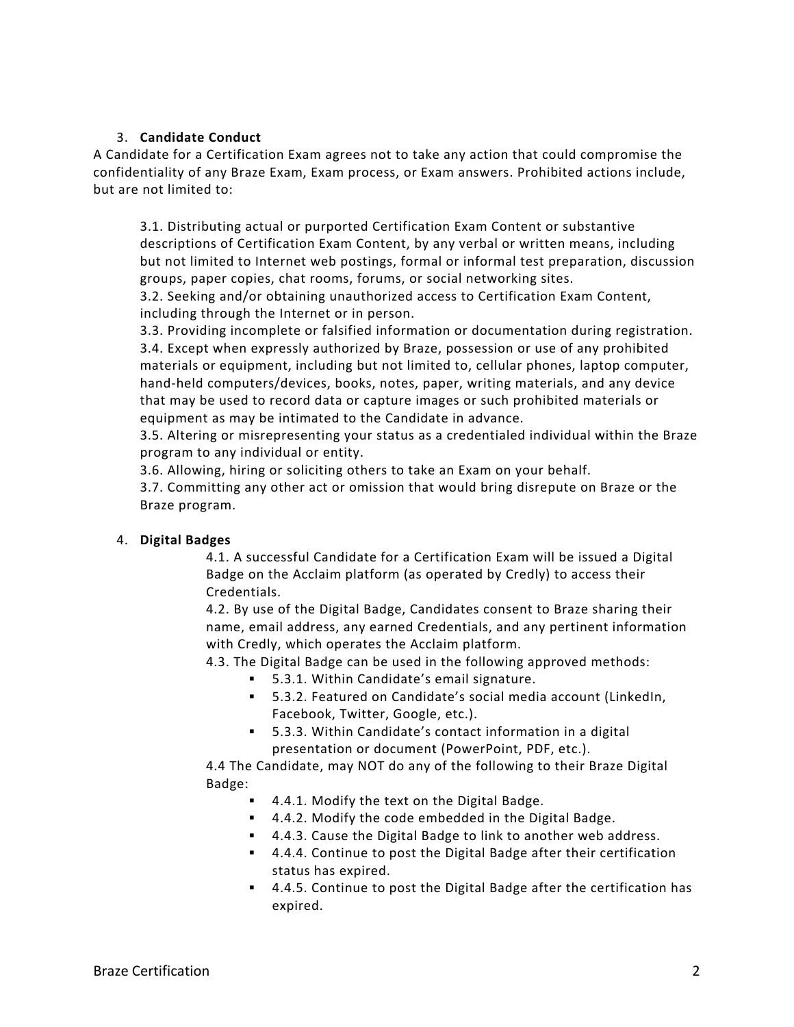# 3. **Candidate Conduct**

A Candidate for a Certification Exam agrees not to take any action that could compromise the confidentiality of any Braze Exam, Exam process, or Exam answers. Prohibited actions include, but are not limited to:

3.1. Distributing actual or purported Certification Exam Content or substantive descriptions of Certification Exam Content, by any verbal or written means, including but not limited to Internet web postings, formal or informal test preparation, discussion groups, paper copies, chat rooms, forums, or social networking sites.

3.2. Seeking and/or obtaining unauthorized access to Certification Exam Content, including through the Internet or in person.

3.3. Providing incomplete or falsified information or documentation during registration. 3.4. Except when expressly authorized by Braze, possession or use of any prohibited materials or equipment, including but not limited to, cellular phones, laptop computer, hand-held computers/devices, books, notes, paper, writing materials, and any device that may be used to record data or capture images or such prohibited materials or equipment as may be intimated to the Candidate in advance.

3.5. Altering or misrepresenting your status as a credentialed individual within the Braze program to any individual or entity.

3.6. Allowing, hiring or soliciting others to take an Exam on your behalf.

3.7. Committing any other act or omission that would bring disrepute on Braze or the Braze program.

## 4. **Digital Badges**

4.1. A successful Candidate for a Certification Exam will be issued a Digital Badge on the Acclaim platform (as operated by Credly) to access their Credentials.

4.2. By use of the Digital Badge, Candidates consent to Braze sharing their name, email address, any earned Credentials, and any pertinent information with Credly, which operates the Acclaim platform.

4.3. The Digital Badge can be used in the following approved methods:

- 5.3.1. Within Candidate's email signature.
- 5.3.2. Featured on Candidate's social media account (LinkedIn, Facebook, Twitter, Google, etc.).
- 5.3.3. Within Candidate's contact information in a digital presentation or document (PowerPoint, PDF, etc.).

4.4 The Candidate, may NOT do any of the following to their Braze Digital Badge:

- 4.4.1. Modify the text on the Digital Badge.
- 4.4.2. Modify the code embedded in the Digital Badge.
- 4.4.3. Cause the Digital Badge to link to another web address.
- § 4.4.4. Continue to post the Digital Badge after their certification status has expired.
- § 4.4.5. Continue to post the Digital Badge after the certification has expired.